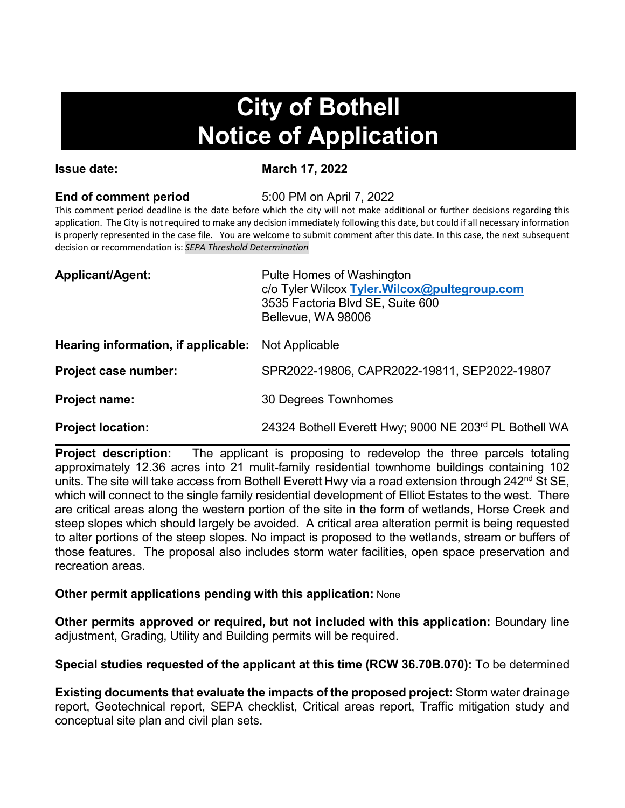# **City of Bothell Notice of Application**

**Issue date:** March 17, 2022

### **End of comment period** 5:00 PM on April 7, 2022

This comment period deadline is the date before which the city will not make additional or further decisions regarding this application. The City is not required to make any decision immediately following this date, but could if all necessary information is properly represented in the case file. You are welcome to submit comment after this date. In this case, the next subsequent decision or recommendation is: *SEPA Threshold Determination*

| <b>Applicant/Agent:</b>                                   | Pulte Homes of Washington<br>c/o Tyler Wilcox Tyler. Wilcox@pultegroup.com<br>3535 Factoria Blvd SE, Suite 600<br>Bellevue, WA 98006 |
|-----------------------------------------------------------|--------------------------------------------------------------------------------------------------------------------------------------|
| <b>Hearing information, if applicable:</b> Not Applicable |                                                                                                                                      |
| Project case number:                                      | SPR2022-19806, CAPR2022-19811, SEP2022-19807                                                                                         |
| <b>Project name:</b>                                      | 30 Degrees Townhomes                                                                                                                 |

**Project location:** 24324 Bothell Everett Hwy; 9000 NE 203rd PL Bothell WA

**Project description:** The applicant is proposing to redevelop the three parcels totaling approximately 12.36 acres into 21 mulit-family residential townhome buildings containing 102 units. The site will take access from Bothell Everett Hwy via a road extension through 242<sup>nd</sup> St SE, which will connect to the single family residential development of Elliot Estates to the west. There are critical areas along the western portion of the site in the form of wetlands, Horse Creek and steep slopes which should largely be avoided. A critical area alteration permit is being requested to alter portions of the steep slopes. No impact is proposed to the wetlands, stream or buffers of those features. The proposal also includes storm water facilities, open space preservation and recreation areas.

## **Other permit applications pending with this application:** None

**Other permits approved or required, but not included with this application:** Boundary line adjustment, Grading, Utility and Building permits will be required.

**Special studies requested of the applicant at this time (RCW 36.70B.070):** To be determined

**Existing documents that evaluate the impacts of the proposed project:** Storm water drainage report, Geotechnical report, SEPA checklist, Critical areas report, Traffic mitigation study and conceptual site plan and civil plan sets.